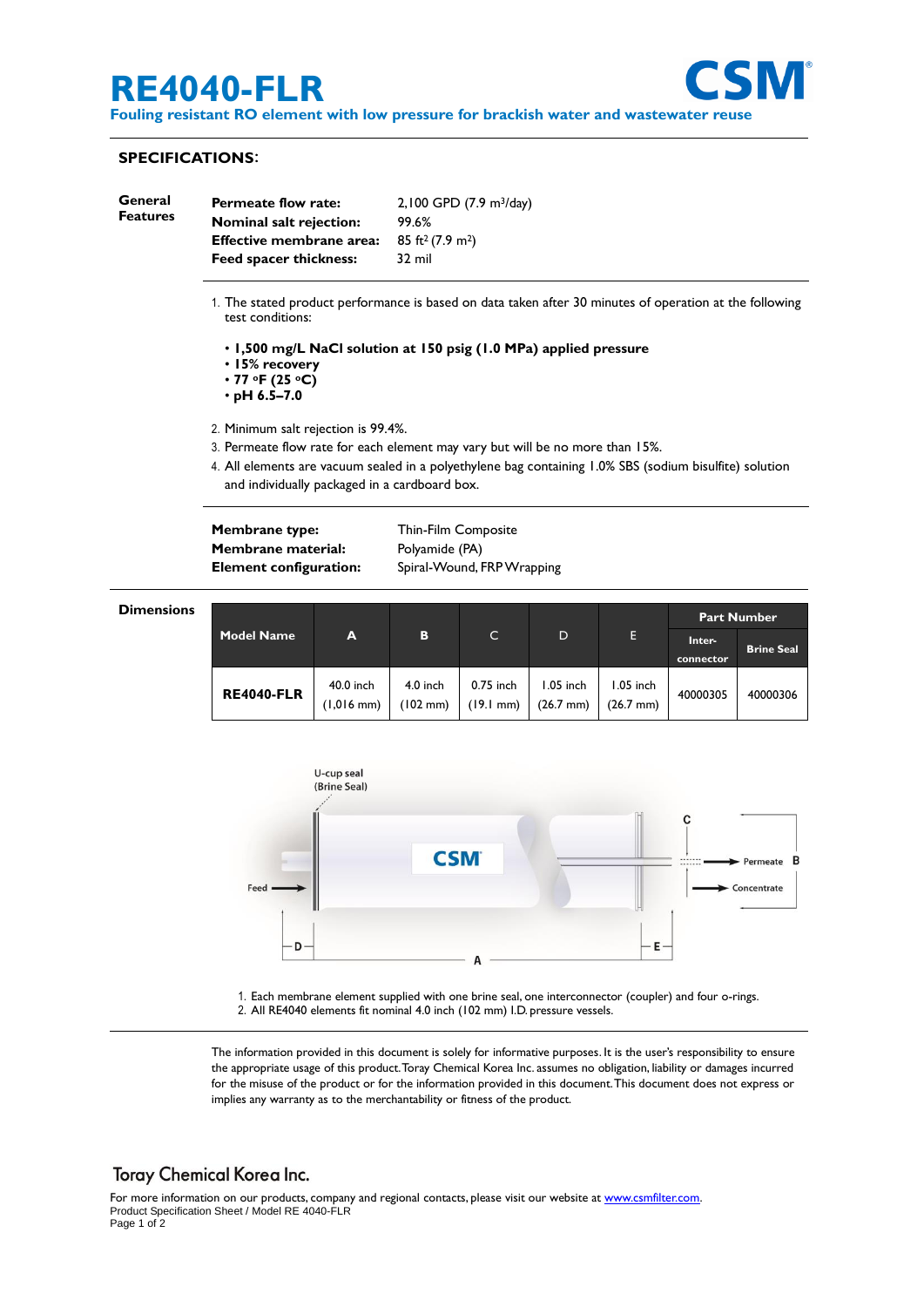# **RE4040-FLR**



**Fouling resistant RO element with low pressure for brackish water and wastewater reuse**

#### **SPECIFICATIONS**:

**Dim** 

| General<br><b>Features</b> | <b>Permeate flow rate:</b>    | 2,100 GPD (7.9 m <sup>3</sup> /day) |  |
|----------------------------|-------------------------------|-------------------------------------|--|
|                            | Nominal salt rejection:       | 99.6%                               |  |
|                            | Effective membrane area:      | $85 \text{ ft}^2 (7.9 \text{ m}^2)$ |  |
|                            | <b>Feed spacer thickness:</b> | 32 mil                              |  |

- 1. The stated product performance is based on data taken after 30 minutes of operation at the following test conditions:
	- **1,500 mg/L NaCl solution at 150 psig (1.0 MPa) applied pressure**
	- **15% recovery**
	- **77 oF (25 oC)**
	- **pH 6.5–7.0**
- 2. Minimum salt rejection is 99.4%.
- 3. Permeate flow rate for each element may vary but will be no more than 15%.
- 4. All elements are vacuum sealed in a polyethylene bag containing 1.0% SBS (sodium bisulfite) solution and individually packaged in a cardboard box.

**Membrane type:** Thin-Film Composite **Membrane material:** Polyamide (PA)

**Element configuration:** Spiral-Wound, FRP Wrapping

| ensions |                   |                                   |                        |                                  |                                  |                                  | <b>Part Number</b>  |                   |
|---------|-------------------|-----------------------------------|------------------------|----------------------------------|----------------------------------|----------------------------------|---------------------|-------------------|
|         | <b>Model Name</b> | A                                 | B                      | $\mathsf{C}$                     | D                                | E                                | Inter-<br>connector | <b>Brine Seal</b> |
|         | <b>RE4040-FLR</b> | 40.0 inch<br>$(1,016 \text{ mm})$ | $4.0$ inch<br>(102 mm) | 0.75 inch<br>$(19.1 \text{ mm})$ | 1.05 inch<br>$(26.7 \text{ mm})$ | 1.05 inch<br>$(26.7 \text{ mm})$ | 40000305            | 40000306          |



1. Each membrane element supplied with one brine seal, one interconnector (coupler) and four o-rings. 2. All RE4040 elements fit nominal 4.0 inch (102 mm) I.D. pressure vessels.

The information provided in this document is solely for informative purposes. It is the user's responsibility to ensure the appropriate usage of this product.Toray Chemical Korea Inc. assumes no obligation, liability or damages incurred for the misuse of the product or for the information provided in this document.This document does not express or implies any warranty as to the merchantability or fitness of the product.

## **Toray Chemical Korea Inc.**

For more information on our products, company and regional contacts, please visit our website at [www.csmfilter.com.](http://www.csmfilter.com/) Product Specification Sheet / Model RE 4040-FLR Page 1 of 2